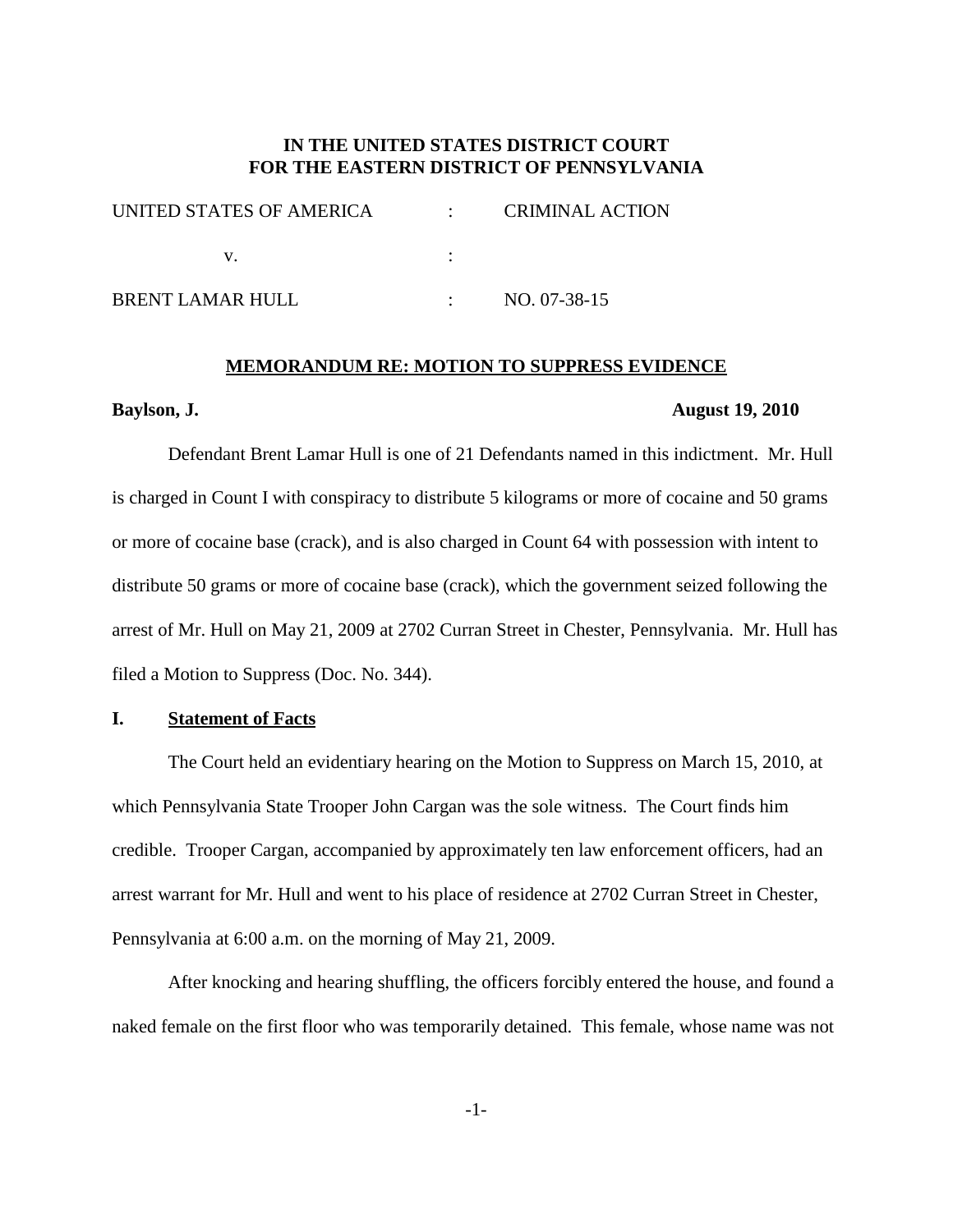# **IN THE UNITED STATES DISTRICT COURT FOR THE EASTERN DISTRICT OF PENNSYLVANIA**

| UNITED STATES OF AMERICA | <b>CRIMINAL ACTION</b> |
|--------------------------|------------------------|
|                          |                        |
| <b>BRENT LAMAR HULL</b>  | NO. 07-38-15           |

#### **MEMORANDUM RE: MOTION TO SUPPRESS EVIDENCE**

#### **Baylson, J. August 19, 2010**

Defendant Brent Lamar Hull is one of 21 Defendants named in this indictment. Mr. Hull is charged in Count I with conspiracy to distribute 5 kilograms or more of cocaine and 50 grams or more of cocaine base (crack), and is also charged in Count 64 with possession with intent to distribute 50 grams or more of cocaine base (crack), which the government seized following the arrest of Mr. Hull on May 21, 2009 at 2702 Curran Street in Chester, Pennsylvania. Mr. Hull has filed a Motion to Suppress (Doc. No. 344).

## **I. Statement of Facts**

The Court held an evidentiary hearing on the Motion to Suppress on March 15, 2010, at which Pennsylvania State Trooper John Cargan was the sole witness. The Court finds him credible. Trooper Cargan, accompanied by approximately ten law enforcement officers, had an arrest warrant for Mr. Hull and went to his place of residence at 2702 Curran Street in Chester, Pennsylvania at 6:00 a.m. on the morning of May 21, 2009.

After knocking and hearing shuffling, the officers forcibly entered the house, and found a naked female on the first floor who was temporarily detained. This female, whose name was not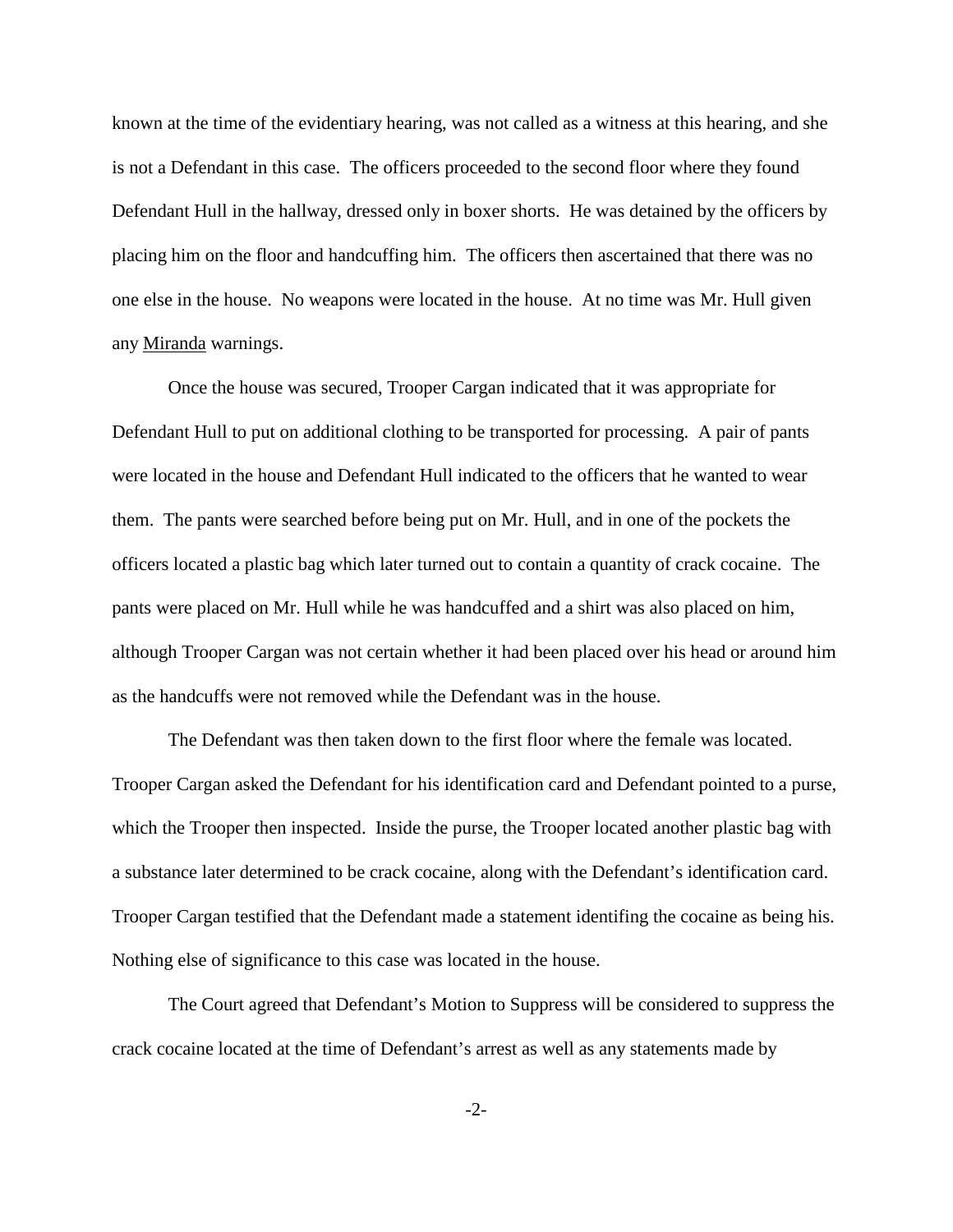known at the time of the evidentiary hearing, was not called as a witness at this hearing, and she is not a Defendant in this case. The officers proceeded to the second floor where they found Defendant Hull in the hallway, dressed only in boxer shorts. He was detained by the officers by placing him on the floor and handcuffing him. The officers then ascertained that there was no one else in the house. No weapons were located in the house. At no time was Mr. Hull given any Miranda warnings.

Once the house was secured, Trooper Cargan indicated that it was appropriate for Defendant Hull to put on additional clothing to be transported for processing. A pair of pants were located in the house and Defendant Hull indicated to the officers that he wanted to wear them. The pants were searched before being put on Mr. Hull, and in one of the pockets the officers located a plastic bag which later turned out to contain a quantity of crack cocaine. The pants were placed on Mr. Hull while he was handcuffed and a shirt was also placed on him, although Trooper Cargan was not certain whether it had been placed over his head or around him as the handcuffs were not removed while the Defendant was in the house.

The Defendant was then taken down to the first floor where the female was located. Trooper Cargan asked the Defendant for his identification card and Defendant pointed to a purse, which the Trooper then inspected. Inside the purse, the Trooper located another plastic bag with a substance later determined to be crack cocaine, along with the Defendant's identification card. Trooper Cargan testified that the Defendant made a statement identifing the cocaine as being his. Nothing else of significance to this case was located in the house.

The Court agreed that Defendant's Motion to Suppress will be considered to suppress the crack cocaine located at the time of Defendant's arrest as well as any statements made by

-2-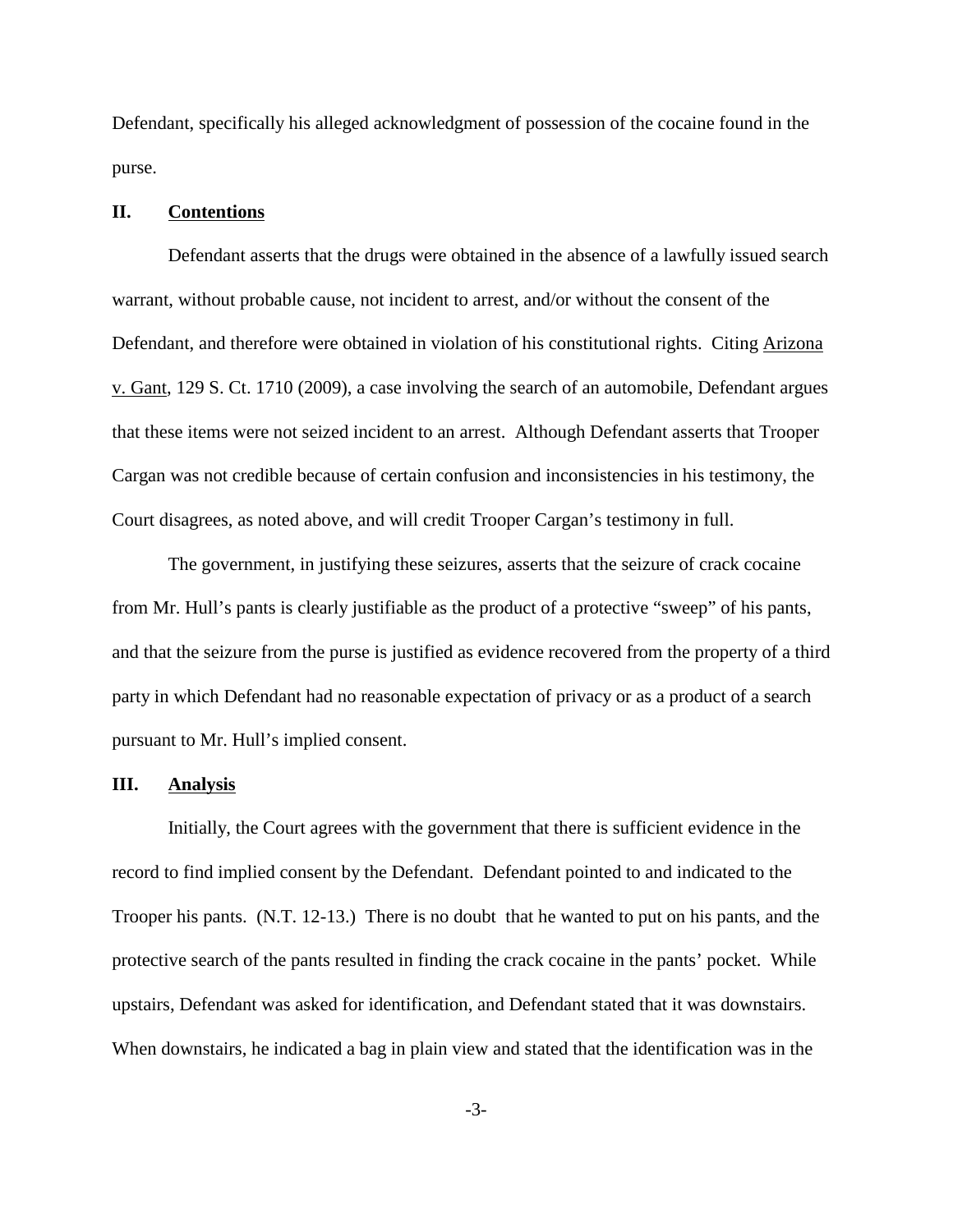Defendant, specifically his alleged acknowledgment of possession of the cocaine found in the purse.

#### **II. Contentions**

Defendant asserts that the drugs were obtained in the absence of a lawfully issued search warrant, without probable cause, not incident to arrest, and/or without the consent of the Defendant, and therefore were obtained in violation of his constitutional rights. Citing Arizona v. Gant, 129 S. Ct. 1710 (2009), a case involving the search of an automobile, Defendant argues that these items were not seized incident to an arrest. Although Defendant asserts that Trooper Cargan was not credible because of certain confusion and inconsistencies in his testimony, the Court disagrees, as noted above, and will credit Trooper Cargan's testimony in full.

The government, in justifying these seizures, asserts that the seizure of crack cocaine from Mr. Hull's pants is clearly justifiable as the product of a protective "sweep" of his pants, and that the seizure from the purse is justified as evidence recovered from the property of a third party in which Defendant had no reasonable expectation of privacy or as a product of a search pursuant to Mr. Hull's implied consent.

### **III. Analysis**

Initially, the Court agrees with the government that there is sufficient evidence in the record to find implied consent by the Defendant. Defendant pointed to and indicated to the Trooper his pants. (N.T. 12-13.) There is no doubt that he wanted to put on his pants, and the protective search of the pants resulted in finding the crack cocaine in the pants' pocket. While upstairs, Defendant was asked for identification, and Defendant stated that it was downstairs. When downstairs, he indicated a bag in plain view and stated that the identification was in the

-3-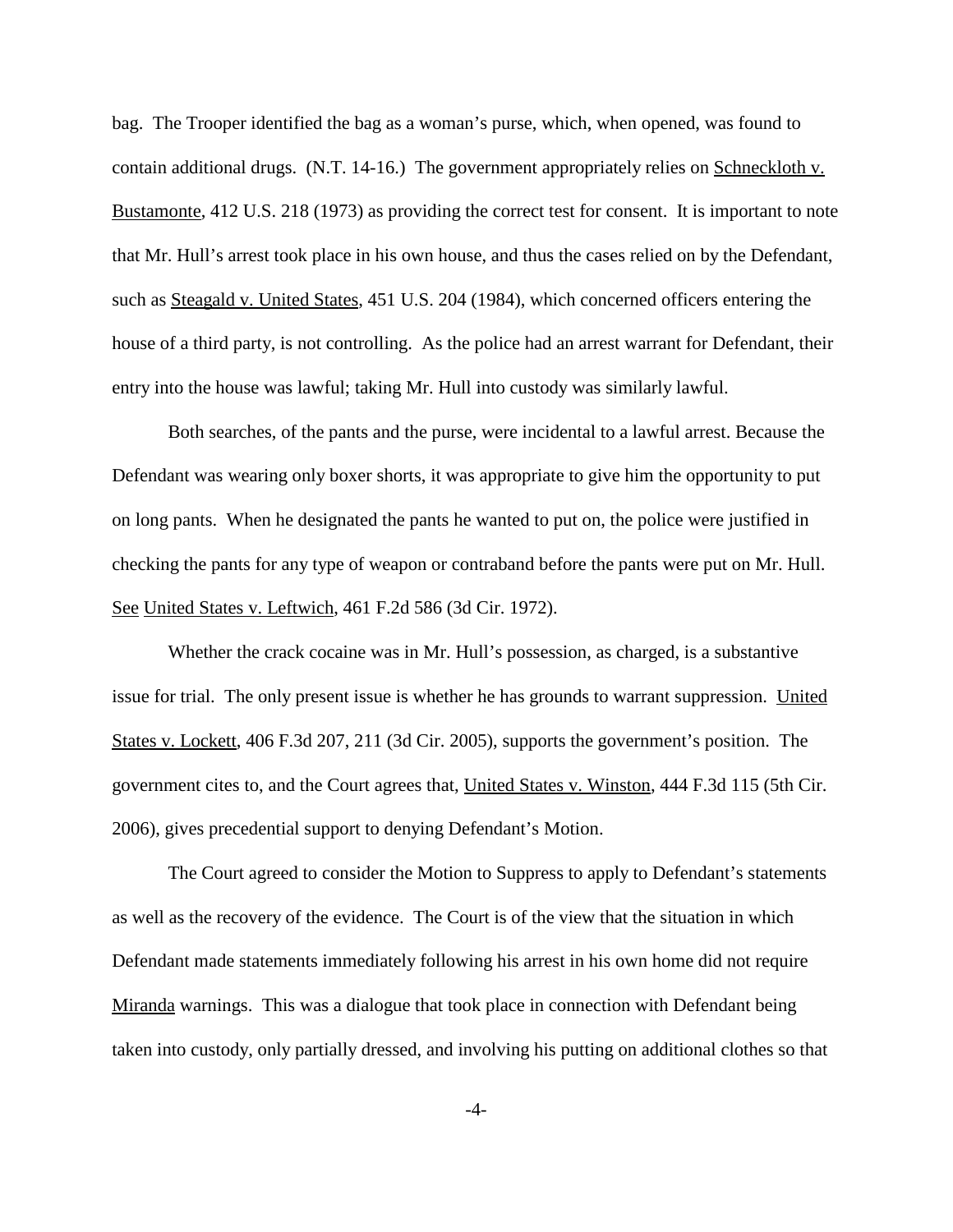bag. The Trooper identified the bag as a woman's purse, which, when opened, was found to contain additional drugs. (N.T. 14-16.) The government appropriately relies on Schneckloth v. Bustamonte, 412 U.S. 218 (1973) as providing the correct test for consent. It is important to note that Mr. Hull's arrest took place in his own house, and thus the cases relied on by the Defendant, such as Steagald v. United States, 451 U.S. 204 (1984), which concerned officers entering the house of a third party, is not controlling. As the police had an arrest warrant for Defendant, their entry into the house was lawful; taking Mr. Hull into custody was similarly lawful.

Both searches, of the pants and the purse, were incidental to a lawful arrest. Because the Defendant was wearing only boxer shorts, it was appropriate to give him the opportunity to put on long pants. When he designated the pants he wanted to put on, the police were justified in checking the pants for any type of weapon or contraband before the pants were put on Mr. Hull. See United States v. Leftwich, 461 F.2d 586 (3d Cir. 1972).

Whether the crack cocaine was in Mr. Hull's possession, as charged, is a substantive issue for trial. The only present issue is whether he has grounds to warrant suppression. United States v. Lockett, 406 F.3d 207, 211 (3d Cir. 2005), supports the government's position. The government cites to, and the Court agrees that, United States v. Winston, 444 F.3d 115 (5th Cir. 2006), gives precedential support to denying Defendant's Motion.

The Court agreed to consider the Motion to Suppress to apply to Defendant's statements as well as the recovery of the evidence. The Court is of the view that the situation in which Defendant made statements immediately following his arrest in his own home did not require Miranda warnings. This was a dialogue that took place in connection with Defendant being taken into custody, only partially dressed, and involving his putting on additional clothes so that

-4-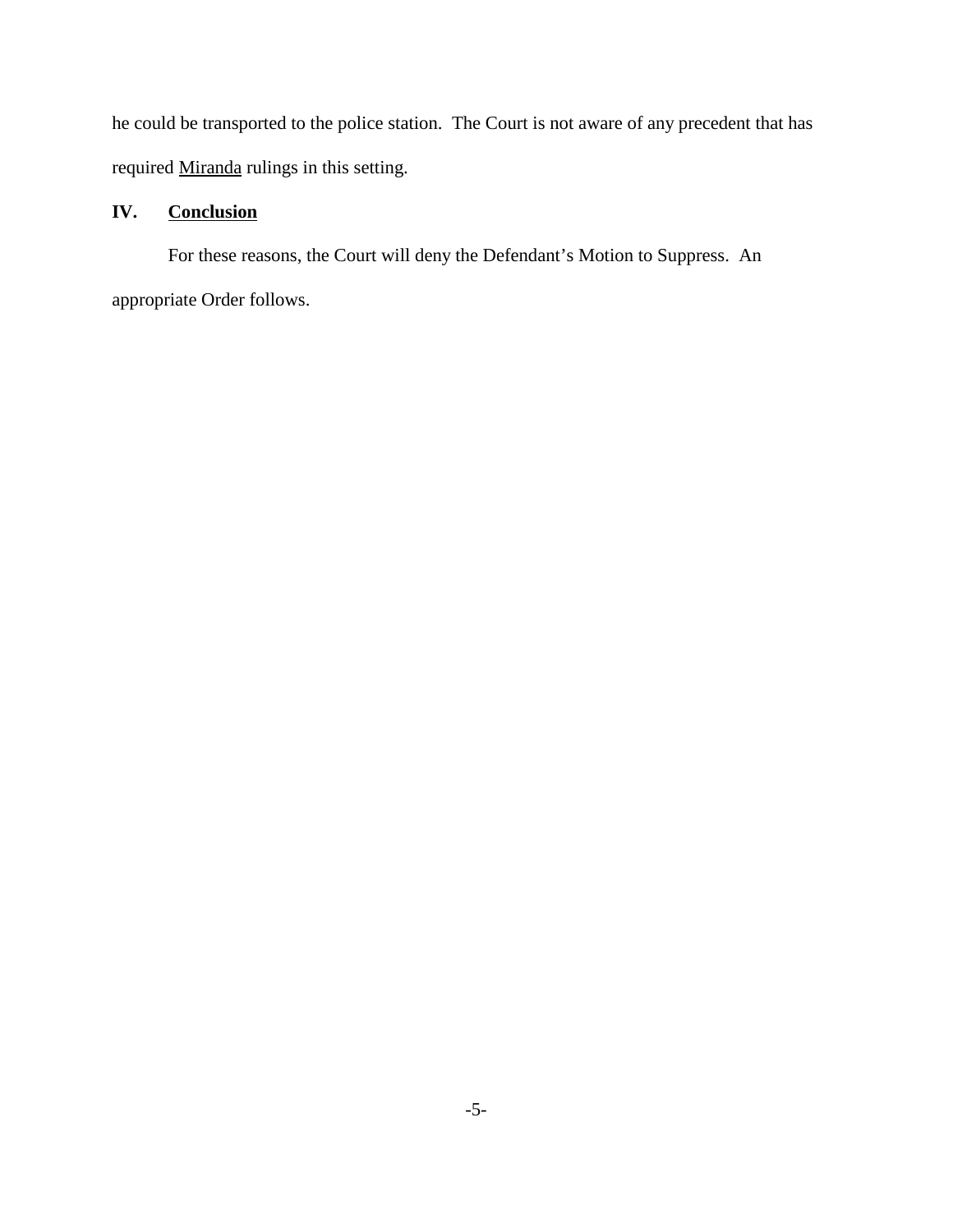he could be transported to the police station. The Court is not aware of any precedent that has required Miranda rulings in this setting.

# **IV. Conclusion**

For these reasons, the Court will deny the Defendant's Motion to Suppress. An appropriate Order follows.